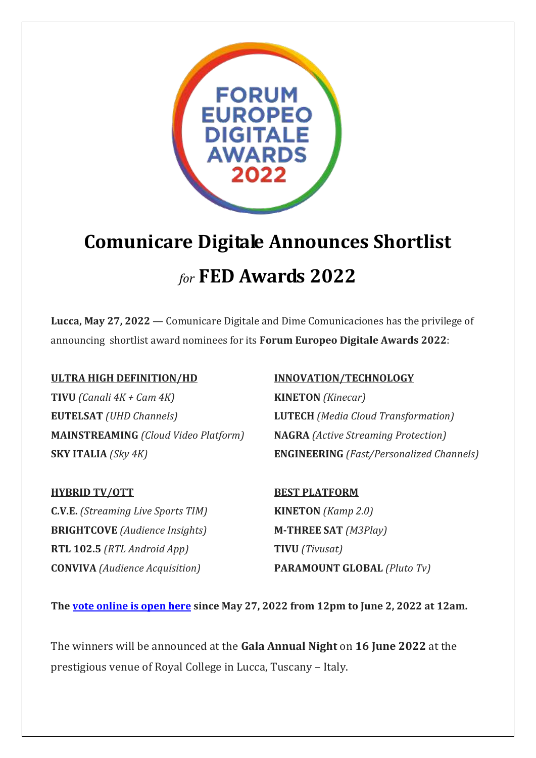

# **Comunicare Digitale Announces Shortlist** *for* **FED Awards 2022**

**Lucca, May 27, 2022** — Comunicare Digitale and Dime Comunicaciones has the privilege of announcing shortlist award nominees for its **Forum Europeo Digitale Awards 2022**:

### **ULTRA HIGH DEFINITION/HD INNOVATION/TECHNOLOGY**

**TIVU** *(Canali 4K + Cam 4K)* **KINETON** *(Kinecar)* **EUTELSAT** *(UHD Channels)* **LUTECH** *(Media Cloud Transformation)* **MAINSTREAMING** *(Cloud Video Platform)* **NAGRA** *(Active Streaming Protection)*

**C.V.E.** *(Streaming Live Sports TIM)* **KINETON** *(Kamp 2.0)* **BRIGHTCOVE** *(Audience Insights)* **M-THREE SAT** *(M3Play)* **RTL 102.5** *(RTL Android App)* **TIVU** *(Tivusat)*

**SKY ITALIA** *(Sky 4K)* **ENGINEERING** *(Fast/Personalized Channels)*

## **HYBRID TV/OTT BEST PLATFORM**

**CONVIVA** *(Audience Acquisition)* **PARAMOUNT GLOBAL** *(Pluto Tv)*

**The [vote online is open here](https://www.survio.com/survey/d/W5N9W5P5H6V3T4K1T) since May 27, 2022 from 12pm to June 2, 2022 at 12am.**

The winners will be announced at the **Gala Annual Night** on **16 June 2022** at the prestigious venue of Royal College in Lucca, Tuscany – Italy.